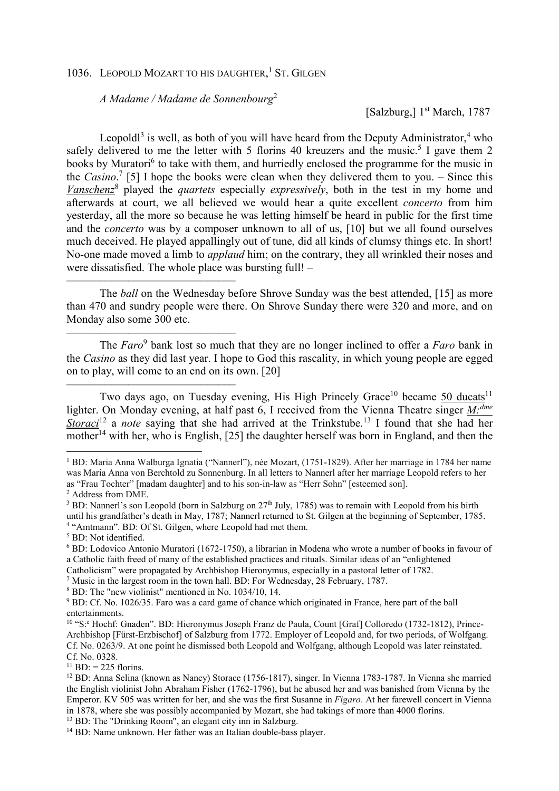## 1036. LEOPOLD MOZART TO HIS DAUGHTER,<sup>1</sup> ST. GILGEN

## *A Madame / Madame de Sonnenbourg*<sup>2</sup>

## [Salzburg,] 1<sup>st</sup> March, 1787

Leopoldl<sup>3</sup> is well, as both of you will have heard from the Deputy Administrator,  $4$  who safely delivered to me the letter with 5 florins 40 kreuzers and the music.<sup>5</sup> I gave them 2 books by Muratori<sup>6</sup> to take with them, and hurriedly enclosed the programme for the music in the *Casino*. 7 [5] I hope the books were clean when they delivered them to you. – Since this *Vanschenz*<sup>8</sup> played the *quartets* especially *expressively*, both in the test in my home and afterwards at court, we all believed we would hear a quite excellent *concerto* from him yesterday, all the more so because he was letting himself be heard in public for the first time and the *concerto* was by a composer unknown to all of us, [10] but we all found ourselves much deceived. He played appallingly out of tune, did all kinds of clumsy things etc. In short! No-one made moved a limb to *applaud* him; on the contrary, they all wrinkled their noses and were dissatisfied. The whole place was bursting full! –

The *ball* on the Wednesday before Shrove Sunday was the best attended, [15] as more than 470 and sundry people were there. On Shrove Sunday there were 320 and more, and on Monday also some 300 etc.

The *Faro*<sup>9</sup> bank lost so much that they are no longer inclined to offer a *Faro* bank in the *Casino* as they did last year. I hope to God this rascality, in which young people are egged on to play, will come to an end on its own. [20]

Two days ago, on Tuesday evening, His High Princely Grace<sup>10</sup> became 50 ducats<sup>11</sup> lighter. On Monday evening, at half past 6, I received from the Vienna Theatre singer *M:dme Storaci*<sup>12</sup> a *note* saying that she had arrived at the Trinkstube.<sup>13</sup> I found that she had her mother<sup>14</sup> with her, who is English, [25] the daughter herself was born in England, and then the

––––––––––––––––––––––––––––––

––––––––––––––––––––––––––––––

––––––––––––––––––––––––––––––

 $\overline{a}$ 

 $^{11}$  BD: = 225 florins.

<sup>13</sup> BD: The "Drinking Room", an elegant city inn in Salzburg.

<sup>1</sup> BD: Maria Anna Walburga Ignatia ("Nannerl"), née Mozart, (1751-1829). After her marriage in 1784 her name was Maria Anna von Berchtold zu Sonnenburg. In all letters to Nannerl after her marriage Leopold refers to her as "Frau Tochter" [madam daughter] and to his son-in-law as "Herr Sohn" [esteemed son]. <sup>2</sup> Address from DME.

<sup>&</sup>lt;sup>3</sup> BD: Nannerl's son Leopold (born in Salzburg on 27<sup>th</sup> July, 1785) was to remain with Leopold from his birth until his grandfather's death in May, 1787; Nannerl returned to St. Gilgen at the beginning of September, 1785. <sup>4</sup> "Amtmann". BD: Of St. Gilgen, where Leopold had met them.

<sup>5</sup> BD: Not identified.

<sup>6</sup> BD: Lodovico Antonio Muratori (1672-1750), a librarian in Modena who wrote a number of books in favour of a Catholic faith freed of many of the established practices and rituals. Similar ideas of an "enlightened

Catholicism" were propagated by Archbishop Hieronymus, especially in a pastoral letter of 1782.

<sup>7</sup> Music in the largest room in the town hall. BD: For Wednesday, 28 February, 1787.

<sup>8</sup> BD: The "new violinist" mentioned in No. 1034/10, 14.

<sup>&</sup>lt;sup>9</sup> BD: Cf. No. 1026/35. Faro was a card game of chance which originated in France, here part of the ball entertainments.

<sup>&</sup>lt;sup>10</sup> "S:<sup>e</sup> Hochf: Gnaden". BD: Hieronymus Joseph Franz de Paula, Count [Graf] Colloredo (1732-1812), Prince-Archbishop [Fürst-Erzbischof] of Salzburg from 1772. Employer of Leopold and, for two periods, of Wolfgang. Cf. No. 0263/9. At one point he dismissed both Leopold and Wolfgang, although Leopold was later reinstated. Cf. No. 0328.

<sup>12</sup> BD: Anna Selina (known as Nancy) Storace (1756-1817), singer. In Vienna 1783-1787. In Vienna she married the English violinist John Abraham Fisher (1762-1796), but he abused her and was banished from Vienna by the Emperor. KV 505 was written for her, and she was the first Susanne in *Figaro*. At her farewell concert in Vienna in 1878, where she was possibly accompanied by Mozart, she had takings of more than 4000 florins.

<sup>14</sup> BD: Name unknown. Her father was an Italian double-bass player.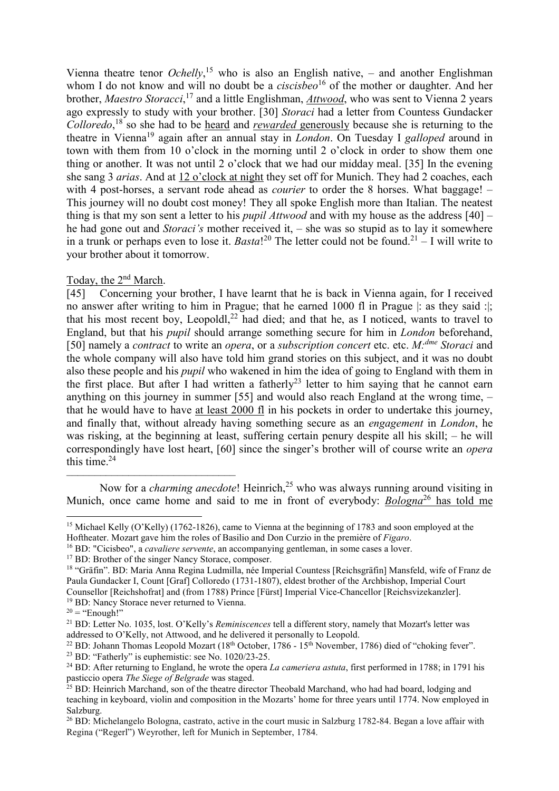Vienna theatre tenor *Ochelly*<sup>15</sup> who is also an English native, – and another Englishman whom I do not know and will no doubt be a *ciscisbeo*<sup>16</sup> of the mother or daughter. And her brother, *Maestro Storacci*, <sup>17</sup> and a little Englishman, *Attwood*, who was sent to Vienna 2 years ago expressly to study with your brother. [30] *Storaci* had a letter from Countess Gundacker Colloredo,<sup>18</sup> so she had to be <u>heard</u> and *rewarded* generously because she is returning to the theatre in Vienna<sup>19</sup> again after an annual stay in *London*. On Tuesday I *galloped* around in town with them from 10 o'clock in the morning until 2 o'clock in order to show them one thing or another. It was not until 2 o'clock that we had our midday meal. [35] In the evening she sang 3 *arias*. And at 12 o'clock at night they set off for Munich. They had 2 coaches, each with 4 post-horses, a servant rode ahead as *courier* to order the 8 horses. What baggage! – This journey will no doubt cost money! They all spoke English more than Italian. The neatest thing is that my son sent a letter to his *pupil Attwood* and with my house as the address [40] – he had gone out and *Storaci's* mother received it, – she was so stupid as to lay it somewhere in a trunk or perhaps even to lose it. *Basta*! <sup>20</sup> The letter could not be found.<sup>21</sup> – I will write to your brother about it tomorrow.

## Today, the 2nd March.

[45] Concerning your brother, I have learnt that he is back in Vienna again, for I received no answer after writing to him in Prague; that he earned 1000 fl in Prague |: as they said :|; that his most recent boy, Leopoldl, $^{22}$  had died; and that he, as I noticed, wants to travel to England, but that his *pupil* should arrange something secure for him in *London* beforehand, [50] namely a *contract* to write an *opera*, or a *subscription concert* etc. etc. *M:dme Storaci* and the whole company will also have told him grand stories on this subject, and it was no doubt also these people and his *pupil* who wakened in him the idea of going to England with them in the first place. But after I had written a fatherly<sup>23</sup> letter to him saying that he cannot earn anything on this journey in summer [55] and would also reach England at the wrong time, – that he would have to have at least 2000 fl in his pockets in order to undertake this journey, and finally that, without already having something secure as an *engagement* in *London*, he was risking, at the beginning at least, suffering certain penury despite all his skill; – he will correspondingly have lost heart, [60] since the singer's brother will of course write an *opera* this time. $24$ 

Now for a *charming anecdote*! Heinrich,<sup>25</sup> who was always running around visiting in Munich, once came home and said to me in front of everybody: *Bologna*<sup>26</sup> has told me

<sup>19</sup> BD: Nancy Storace never returned to Vienna.

––––––––––––––––––––––––––––––

 $\overline{a}$ 

<sup>&</sup>lt;sup>15</sup> Michael Kelly (O'Kelly) (1762-1826), came to Vienna at the beginning of 1783 and soon employed at the Hoftheater. Mozart gave him the roles of Basilio and Don Curzio in the première of *Figaro*.

<sup>16</sup> BD: "Cicisbeo", a *cavaliere servente*, an accompanying gentleman, in some cases a lover.

<sup>17</sup> BD: Brother of the singer Nancy Storace, composer.

<sup>18</sup> "Gräfin". BD: Maria Anna Regina Ludmilla, née Imperial Countess [Reichsgräfin] Mansfeld, wife of Franz de Paula Gundacker I, Count [Graf] Colloredo (1731-1807), eldest brother of the Archbishop, Imperial Court Counsellor [Reichshofrat] and (from 1788) Prince [Fürst] Imperial Vice-Chancellor [Reichsvizekanzler].

 $20 =$  "Enough!"

<sup>21</sup> BD: Letter No. 1035, lost. O'Kelly's *Reminiscences* tell a different story, namely that Mozart's letter was addressed to O'Kelly, not Attwood, and he delivered it personally to Leopold.

<sup>&</sup>lt;sup>22</sup> BD: Johann Thomas Leopold Mozart (18<sup>th</sup> October, 1786 - 15<sup>th</sup> November, 1786) died of "choking fever".

 $23$  BD: "Fatherly" is euphemistic: see No. 1020/23-25.

<sup>24</sup> BD: After returning to England, he wrote the opera *La cameriera astuta*, first performed in 1788; in 1791 his pasticcio opera *The Siege of Belgrade* was staged.

 $25$  BD: Heinrich Marchand, son of the theatre director Theobald Marchand, who had had board, lodging and teaching in keyboard, violin and composition in the Mozarts' home for three years until 1774. Now employed in Salzburg.

<sup>26</sup> BD: Michelangelo Bologna, castrato, active in the court music in Salzburg 1782-84. Began a love affair with Regina ("Regerl") Weyrother, left for Munich in September, 1784.